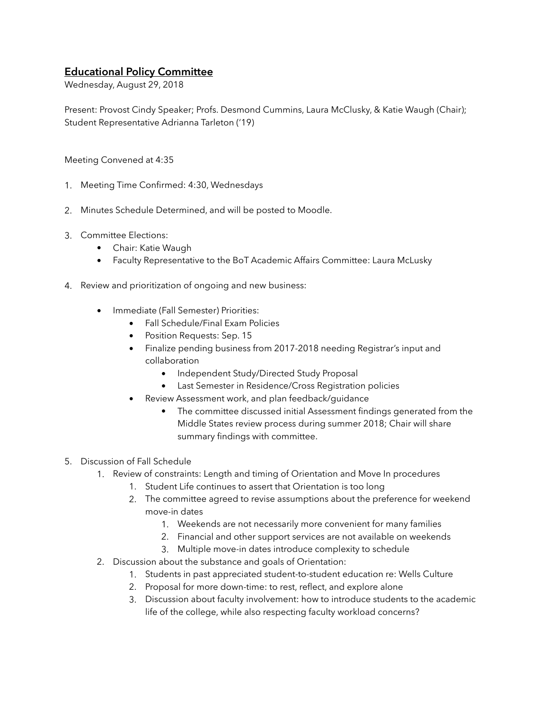## **Educational Policy Committee**

Wednesday, August 29, 2018

Present: Provost Cindy Speaker; Profs. Desmond Cummins, Laura McClusky, & Katie Waugh (Chair); Student Representative Adrianna Tarleton ('19)

Meeting Convened at 4:35

- 1. Meeting Time Confirmed: 4:30, Wednesdays
- 2. Minutes Schedule Determined, and will be posted to Moodle.
- 3. Committee Elections:
	- Chair: Katie Waugh
	- Faculty Representative to the BoT Academic Affairs Committee: Laura McLusky
- 4. Review and prioritization of ongoing and new business:
	- Immediate (Fall Semester) Priorities:
		- Fall Schedule/Final Exam Policies
		- Position Requests: Sep. 15
		- Finalize pending business from 2017-2018 needing Registrar's input and collaboration
			- Independent Study/Directed Study Proposal
			- Last Semester in Residence/Cross Registration policies
		- Review Assessment work, and plan feedback/guidance
			- The committee discussed initial Assessment findings generated from the Middle States review process during summer 2018; Chair will share summary findings with committee.
- 5. Discussion of Fall Schedule
	- 1. Review of constraints: Length and timing of Orientation and Move In procedures
		- 1. Student Life continues to assert that Orientation is too long
		- 2. The committee agreed to revise assumptions about the preference for weekend move-in dates
			- 1. Weekends are not necessarily more convenient for many families
			- 2. Financial and other support services are not available on weekends
			- 3. Multiple move-in dates introduce complexity to schedule
	- 2. Discussion about the substance and goals of Orientation:
		- 1. Students in past appreciated student-to-student education re: Wells Culture
		- 2. Proposal for more down-time: to rest, reflect, and explore alone
		- 3. Discussion about faculty involvement: how to introduce students to the academic life of the college, while also respecting faculty workload concerns?